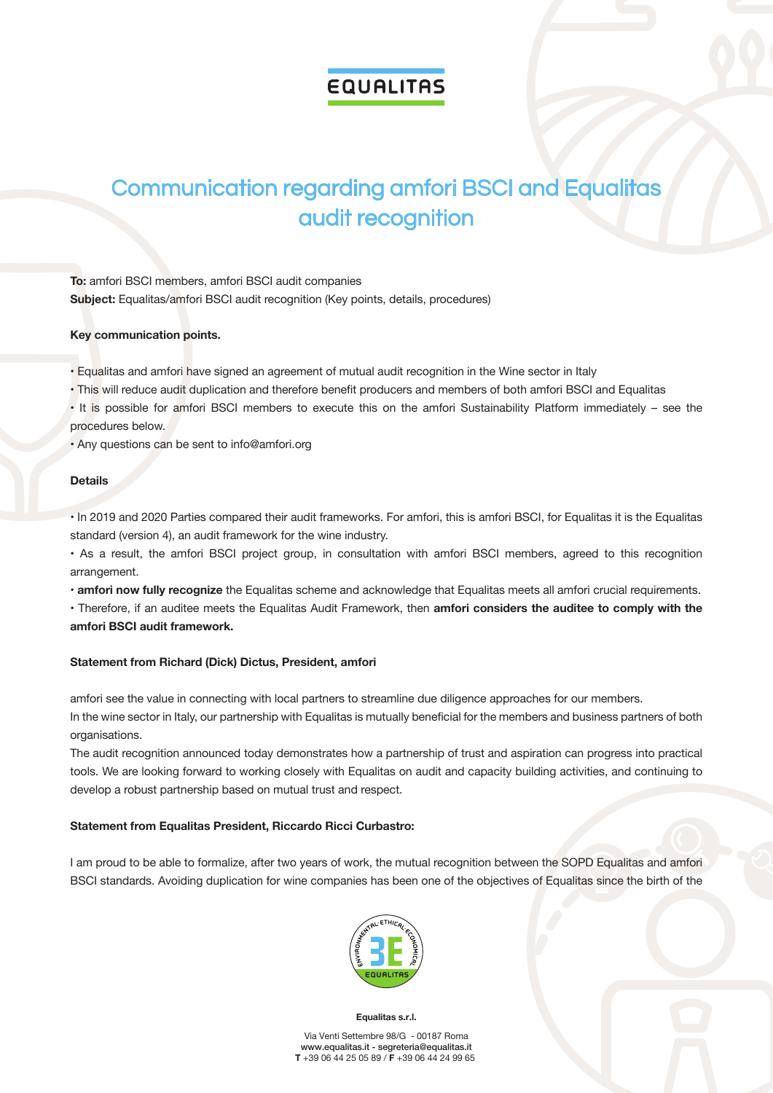# **EQUALITAS**

# Communication regarding amfori BSCI and Equalitas audit recognition

**To:** amfori BSCI members, amfori BSCI audit companies **Subject:** Equalitas/amfori BSCI audit recognition (Key points, details, procedures)

## **Key communication points.**

- Equalitas and amfori have signed an agreement of mutual audit recognition in the Wine sector in Italy
- This will reduce audit duplication and therefore benefit producers and members of both amfori BSCI and Equalitas
- It is possible for amfori BSCI members to execute this on the amfori Sustainability Platform immediately see the procedures below.
- Any questions can be sent to info@amfori.org

### **Details**

• In 2019 and 2020 Parties compared their audit frameworks. For amfori, this is amfori BSCI, for Equalitas it is the Equalitas standard (version 4), an audit framework for the wine industry.

• As a result, the amfori BSCI project group, in consultation with amfori BSCI members, agreed to this recognition arrangement.

• **amfori now fully recognize** the Equalitas scheme and acknowledge that Equalitas meets all amfori crucial requirements.

• Therefore, if an auditee meets the Equalitas Audit Framework, then **amfori considers the auditee to comply with the amfori BSCI audit framework.** 

#### **Statement from Richard (Dick) Dictus, President, amfori**

amfori see the value in connecting with local partners to streamline due diligence approaches for our members.

In the wine sector in Italy, our partnership with Equalitas is mutually beneficial for the members and business partners of both organisations.

The audit recognition announced today demonstrates how a partnership of trust and aspiration can progress into practical tools. We are looking forward to working closely with Equalitas on audit and capacity building activities, and continuing to develop a robust partnership based on mutual trust and respect.

#### **Statement from Equalitas President, Riccardo Ricci Curbastro:**

I am proud to be able to formalize, after two years of work, the mutual recognition between the SOPD Equalitas and amfori BSCI standards. Avoiding duplication for wine companies has been one of the objectives of Equalitas since the birth of the



**Equalitas s.r.l.**

Via Venti Settembre 98/G - 00187 Roma www.equalitas.it - segreteria@equalitas.it **T** +39 06 44 25 05 89 / **F** +39 06 44 24 99 65